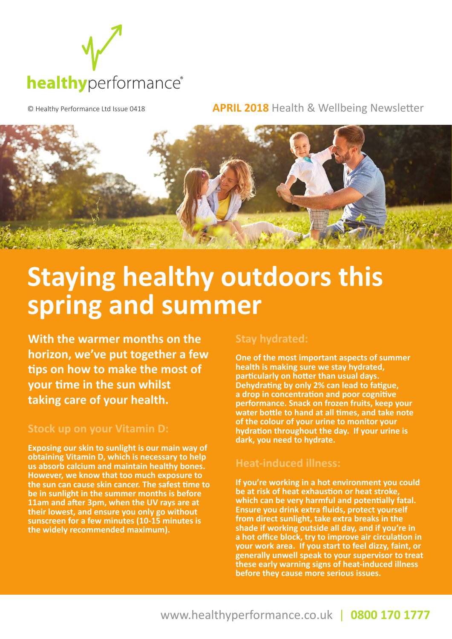

© Healthy Performance Ltd Issue 0418 **APRIL 2018** Health & Wellbeing Newsletter



# **Staying healthy outdoors this spring and summer**

**With the warmer months on the horizon, we've put together a few tips on how to make the most of your time in the sun whilst taking care of your health.** 

#### **Stock up on your Vitamin D:**

**Exposing our skin to sunlight is our main way of obtaining Vitamin D, which is necessary to help us absorb calcium and maintain healthy bones. However, we know that too much exposure to the sun can cause skin cancer. The safest time to be in sunlight in the summer months is before 11am and after 3pm, when the UV rays are at their lowest, and ensure you only go without sunscreen for a few minutes (10-15 minutes is the widely recommended maximum).**

#### **Stay hydrated:**

**One of the most important aspects of summer health is making sure we stay hydrated, particularly on hotter than usual days. Dehydrating by only 2% can lead to fatigue, a drop in concentration and poor cognitive performance. Snack on frozen fruits, keep your water bottle to hand at all times, and take note of the colour of your urine to monitor your hydration throughout the day. If your urine is dark, you need to hydrate.** 

#### **Heat-induced illness:**

**If you're working in a hot environment you could be at risk of heat exhaustion or heat stroke, which can be very harmful and potentially fatal. Ensure you drink extra fluids, protect yourself from direct sunlight, take extra breaks in the shade if working outside all day, and if you're in a hot office block, try to improve air circulation in your work area. If you start to feel dizzy, faint, or generally unwell speak to your supervisor to treat these early warning signs of heat-induced illness before they cause more serious issues.**